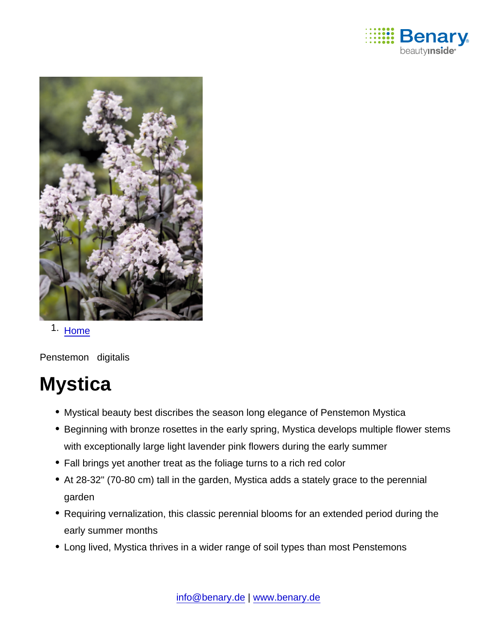

### 1. [Home](https://www.benary.com/)

Penstemon digitalis

# **Mystica**

- Mystical beauty best discribes the season long elegance of Penstemon Mystica
- Beginning with bronze rosettes in the early spring, Mystica develops multiple flower stems with exceptionally large light lavender pink flowers during the early summer
- Fall brings yet another treat as the foliage turns to a rich red color
- At 28-32" (70-80 cm) tall in the garden, Mystica adds a stately grace to the perennial garden
- Requiring vernalization, this classic perennial blooms for an extended period during the early summer months
- Long lived, Mystica thrives in a wider range of soil types than most Penstemons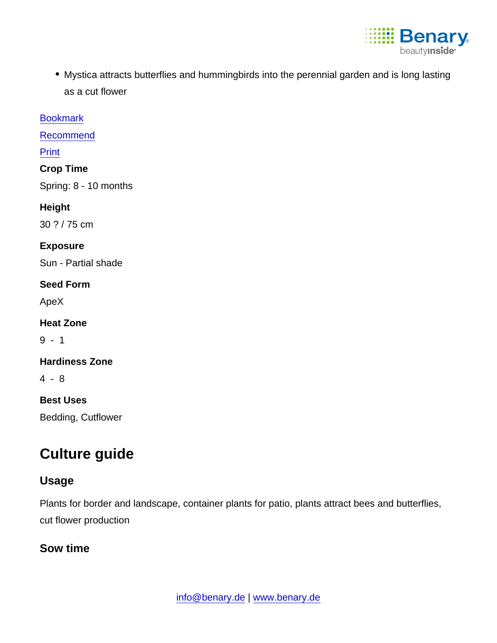

Mystica attracts butterflies and hummingbirds into the perennial garden and is long lasting as a cut flower

[Bookmark](https://www.benary.com/flag/flag/product/6158?destination&token=CAi8RpgRdcInT-Yqafyx41ctdVd2ZB3L8Hlk7RiLrD8)

[Recommend](mailto:?subject=Benary Penstemon digitalis &body=https://www.benary.com/print/pdf/node/6158)

Print

Crop Time

Spring: 8 - 10 months

Height

30 ? / 75 cm

Exposure

Sun - Partial shade

Seed Form

ApeX

Heat Zone

 $9 - 1$ 

Hardiness Zone

4 - 8

Best Uses

Bedding, Cutflower

## Culture guide

#### Usage

Plants for border and landscape, container plants for patio, plants attract bees and butterflies, cut flower production

Sow time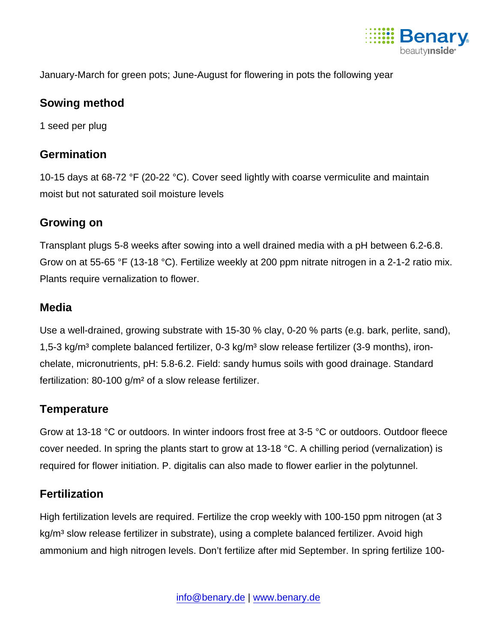

#### January-March for green pots; June-August for flowering in pots the following year

#### Sowing method

1 seed per plug

#### **Germination**

10-15 days at 68-72 °F (20-22 °C). Cover seed lightly with coarse vermiculite and maintain moist but not saturated soil moisture levels

#### Growing on

Transplant plugs 5-8 weeks after sowing into a well drained media with a pH between 6.2-6.8. Grow on at 55-65 °F (13-18 °C). Fertilize weekly at 200 ppm nitrate nitrogen in a 2-1-2 ratio mix. Plants require vernalization to flower.

#### Media

Use a well-drained, growing substrate with 15-30 % clay, 0-20 % parts (e.g. bark, perlite, sand), 1,5-3 kg/m<sup>3</sup> complete balanced fertilizer, 0-3 kg/m<sup>3</sup> slow release fertilizer (3-9 months), ironchelate, micronutrients, pH: 5.8-6.2. Field: sandy humus soils with good drainage. Standard fertilization: 80-100 g/m² of a slow release fertilizer.

#### **Temperature**

Grow at 13-18 °C or outdoors. In winter indoors frost free at 3-5 °C or outdoors. Outdoor fleece cover needed. In spring the plants start to grow at 13-18 °C. A chilling period (vernalization) is required for flower initiation. P. digitalis can also made to flower earlier in the polytunnel.

#### **Fertilization**

High fertilization levels are required. Fertilize the crop weekly with 100-150 ppm nitrogen (at 3 kg/m<sup>3</sup> slow release fertilizer in substrate), using a complete balanced fertilizer. Avoid high ammonium and high nitrogen levels. Don't fertilize after mid September. In spring fertilize 100-